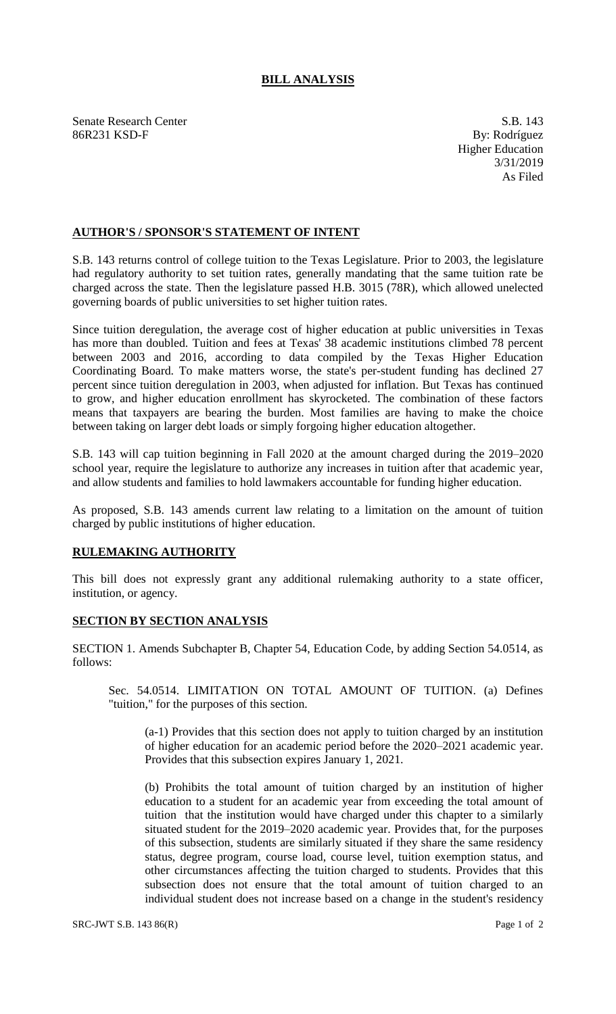## **BILL ANALYSIS**

Senate Research Center S.B. 143 86R231 KSD-F By: Rodríguez

Higher Education 3/31/2019 As Filed

## **AUTHOR'S / SPONSOR'S STATEMENT OF INTENT**

S.B. 143 returns control of college tuition to the Texas Legislature. Prior to 2003, the legislature had regulatory authority to set tuition rates, generally mandating that the same tuition rate be charged across the state. Then the legislature passed H.B. 3015 (78R), which allowed unelected governing boards of public universities to set higher tuition rates.

Since tuition deregulation, the average cost of higher education at public universities in Texas has more than doubled. Tuition and fees at Texas' 38 academic institutions climbed 78 percent between 2003 and 2016, according to data compiled by the Texas Higher Education Coordinating Board. To make matters worse, the state's per-student funding has declined 27 percent since tuition deregulation in 2003, when adjusted for inflation. But Texas has continued to grow, and higher education enrollment has skyrocketed. The combination of these factors means that taxpayers are bearing the burden. Most families are having to make the choice between taking on larger debt loads or simply forgoing higher education altogether.

S.B. 143 will cap tuition beginning in Fall 2020 at the amount charged during the 2019–2020 school year, require the legislature to authorize any increases in tuition after that academic year, and allow students and families to hold lawmakers accountable for funding higher education.

As proposed, S.B. 143 amends current law relating to a limitation on the amount of tuition charged by public institutions of higher education.

## **RULEMAKING AUTHORITY**

This bill does not expressly grant any additional rulemaking authority to a state officer, institution, or agency.

## **SECTION BY SECTION ANALYSIS**

SECTION 1. Amends Subchapter B, Chapter 54, Education Code, by adding Section 54.0514, as follows:

Sec. 54.0514. LIMITATION ON TOTAL AMOUNT OF TUITION. (a) Defines "tuition," for the purposes of this section.

(a-1) Provides that this section does not apply to tuition charged by an institution of higher education for an academic period before the 2020–2021 academic year. Provides that this subsection expires January 1, 2021.

(b) Prohibits the total amount of tuition charged by an institution of higher education to a student for an academic year from exceeding the total amount of tuition that the institution would have charged under this chapter to a similarly situated student for the 2019–2020 academic year. Provides that, for the purposes of this subsection, students are similarly situated if they share the same residency status, degree program, course load, course level, tuition exemption status, and other circumstances affecting the tuition charged to students. Provides that this subsection does not ensure that the total amount of tuition charged to an individual student does not increase based on a change in the student's residency